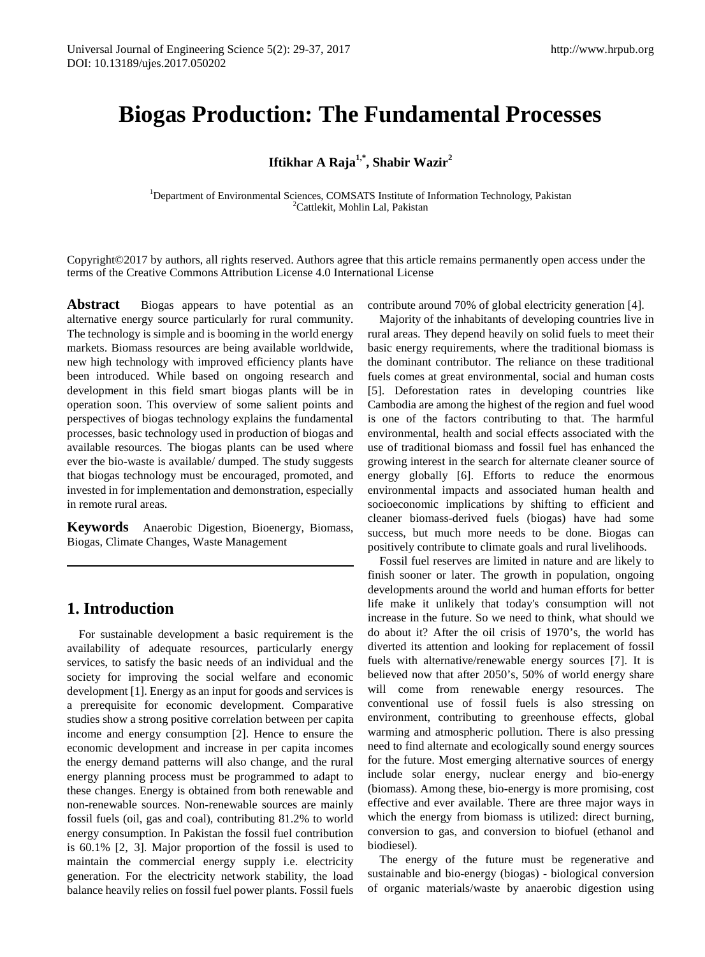# **Biogas Production: The Fundamental Processes**

# **Iftikhar A Raja1,\*, Shabir Wazir2**

<sup>1</sup>Department of Environmental Sciences, COMSATS Institute of Information Technology, Pakistan <sup>2</sup>Cattlekit, Moblin J al. Pakistan <sup>2</sup>Cattlekit, Mohlin Lal, Pakistan

Copyright©2017 by authors, all rights reserved. Authors agree that this article remains permanently open access under the terms of the Creative Commons Attribution License 4.0 International License

Abstract Biogas appears to have potential as an alternative energy source particularly for rural community. The technology is simple and is booming in the world energy markets. Biomass resources are being available worldwide, new high technology with improved efficiency plants have been introduced. While based on ongoing research and development in this field smart biogas plants will be in operation soon. This overview of some salient points and perspectives of biogas technology explains the fundamental processes, basic technology used in production of biogas and available resources. The biogas plants can be used where ever the bio-waste is available/ dumped. The study suggests that biogas technology must be encouraged, promoted, and invested in for implementation and demonstration, especially in remote rural areas.

**Keywords** Anaerobic Digestion, Bioenergy, Biomass, Biogas, Climate Changes, Waste Management

# **1. Introduction**

For sustainable development a basic requirement is the availability of adequate resources, particularly energy services, to satisfy the basic needs of an individual and the society for improving the social welfare and economic development [1]. Energy as an input for goods and services is a prerequisite for economic development. Comparative studies show a strong positive correlation between per capita income and energy consumption [2]. Hence to ensure the economic development and increase in per capita incomes the energy demand patterns will also change, and the rural energy planning process must be programmed to adapt to these changes. Energy is obtained from both renewable and non-renewable sources. Non-renewable sources are mainly fossil fuels (oil, gas and coal), contributing 81.2% to world energy consumption. In Pakistan the fossil fuel contribution is 60.1% [2, 3]. Major proportion of the fossil is used to maintain the commercial energy supply i.e. electricity generation. For the electricity network stability, the load balance heavily relies on fossil fuel power plants. Fossil fuels

contribute around 70% of global electricity generation [4].

Majority of the inhabitants of developing countries live in rural areas. They depend heavily on solid fuels to meet their basic energy requirements, where the traditional biomass is the dominant contributor. The reliance on these traditional fuels comes at great environmental, social and human costs [5]. Deforestation rates in developing countries like Cambodia are among the highest of the region and fuel wood is one of the factors contributing to that. The harmful environmental, health and social effects associated with the use of traditional biomass and fossil fuel has enhanced the growing interest in the search for alternate cleaner source of energy globally [6]. Efforts to reduce the enormous environmental impacts and associated human health and socioeconomic implications by shifting to efficient and cleaner biomass-derived fuels (biogas) have had some success, but much more needs to be done. Biogas can positively contribute to climate goals and rural livelihoods.

Fossil fuel reserves are limited in nature and are likely to finish sooner or later. The growth in population, ongoing developments around the world and human efforts for better life make it unlikely that today's consumption will not increase in the future. So we need to think, what should we do about it? After the oil crisis of 1970's, the world has diverted its attention and looking for replacement of fossil fuels with alternative/renewable energy sources [7]. It is believed now that after 2050's, 50% of world energy share will come from renewable energy resources. The conventional use of fossil fuels is also stressing on environment, contributing to greenhouse effects, global warming and atmospheric pollution. There is also pressing need to find alternate and ecologically sound energy sources for the future. Most emerging alternative sources of energy include solar energy, nuclear energy and bio-energy (biomass). Among these, bio-energy is more promising, cost effective and ever available. There are three major ways in which the energy from biomass is utilized: direct burning, conversion to gas, and conversion to biofuel (ethanol and biodiesel).

The energy of the future must be regenerative and sustainable and bio-energy (biogas) - biological conversion of organic materials/waste by anaerobic digestion using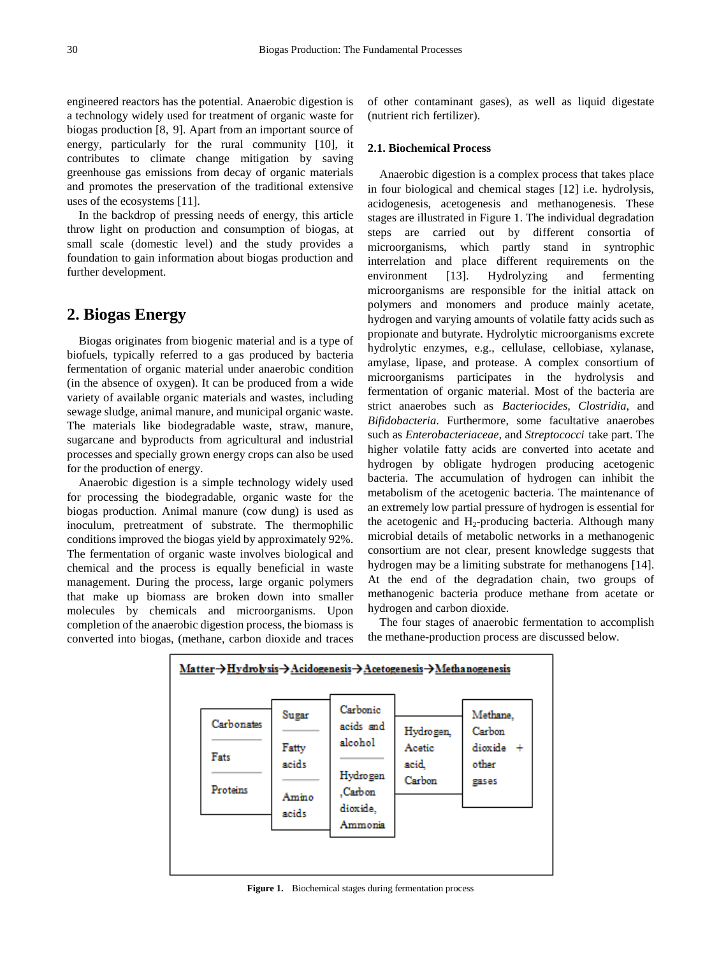engineered reactors has the potential. Anaerobic digestion is a technology widely used for treatment of organic waste for biogas production [8, 9]. Apart from an important source of energy, particularly for the rural community [10], it contributes to climate change mitigation by saving greenhouse gas emissions from decay of organic materials and promotes the preservation of the traditional extensive uses of the ecosystems [11].

In the backdrop of pressing needs of energy, this article throw light on production and consumption of biogas, at small scale (domestic level) and the study provides a foundation to gain information about biogas production and further development.

## **2. Biogas Energy**

Biogas originates from biogenic material and is a type of biofuels, typically referred to a gas produced by bacteria fermentation of organic material under anaerobic condition (in the absence of oxygen). It can be produced from a wide variety of available organic materials and wastes, including sewage sludge, animal manure, and municipal organic waste. The materials like biodegradable waste, straw, manure, sugarcane and byproducts from agricultural and industrial processes and specially grown energy crops can also be used for the production of energy.

Anaerobic digestion is a simple technology widely used for processing the biodegradable, organic waste for the biogas production. Animal manure (cow dung) is used as inoculum, pretreatment of substrate. The thermophilic conditions improved the biogas yield by approximately 92%. The fermentation of organic waste involves biological and chemical and the process is equally beneficial in waste management. During the process, large organic polymers that make up biomass are broken down into smaller molecules by chemicals and microorganisms. Upon completion of the anaerobic digestion process, the biomass is converted into biogas, (methane, carbon dioxide and traces of other contaminant gases), as well as liquid digestate (nutrient rich fertilizer).

#### **2.1. Biochemical Process**

Anaerobic digestion is a complex process that takes place in four biological and chemical stages [12] i.e. hydrolysis, acidogenesis, acetogenesis and methanogenesis. These stages are illustrated in Figure 1. The individual degradation steps are carried out by different consortia of microorganisms, which partly stand in syntrophic interrelation and place different requirements on the environment [13]. Hydrolyzing and fermenting microorganisms are responsible for the initial attack on polymers and monomers and produce mainly acetate, hydrogen and varying amounts of volatile fatty acids such as propionate and butyrate. Hydrolytic microorganisms excrete hydrolytic enzymes, e.g., cellulase, cellobiase, xylanase, amylase, lipase, and protease. A complex consortium of microorganisms participates in the hydrolysis and fermentation of organic material. Most of the bacteria are strict anaerobes such as *Bacteriocides, Clostridia*, and *Bifidobacteria*. Furthermore, some facultative anaerobes such as *Enterobacteriaceae,* and *Streptococci* take part. The higher volatile fatty acids are converted into acetate and hydrogen by obligate hydrogen producing acetogenic bacteria. The accumulation of hydrogen can inhibit the metabolism of the acetogenic bacteria. The maintenance of an extremely low partial pressure of hydrogen is essential for the acetogenic and  $H_2$ -producing bacteria. Although many microbial details of metabolic networks in a methanogenic consortium are not clear, present knowledge suggests that hydrogen may be a limiting substrate for methanogens [14]. At the end of the degradation chain, two groups of methanogenic bacteria produce methane from acetate or hydrogen and carbon dioxide.

The four stages of anaerobic fermentation to accomplish the methane-production process are discussed below.



**Figure 1.** Biochemical stages during fermentation process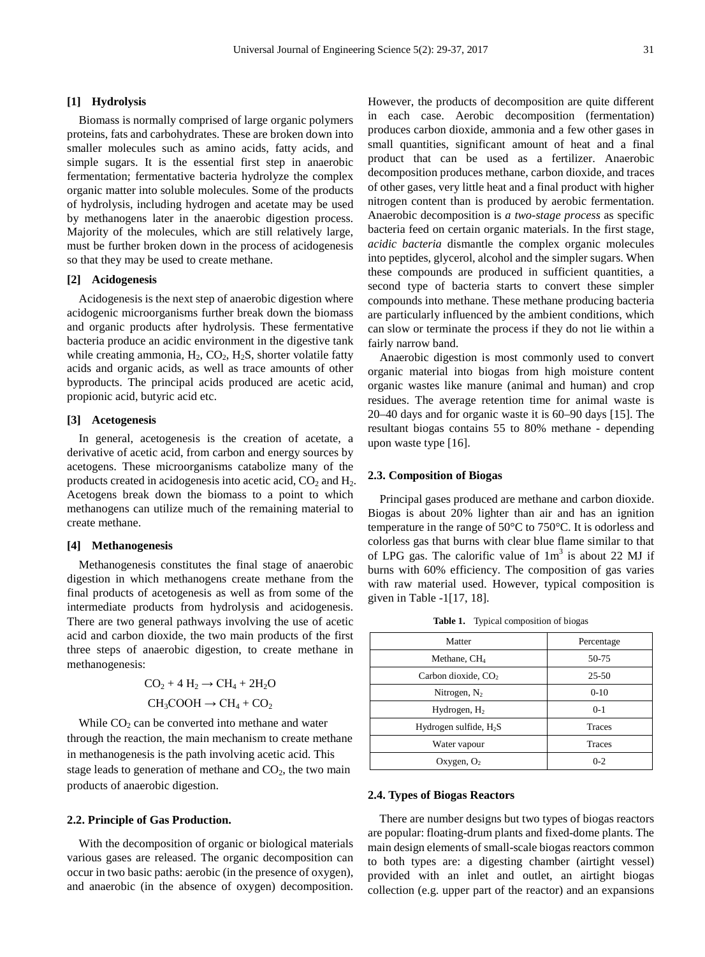### **[1] Hydrolysis**

Biomass is normally comprised of large organic polymers proteins, fats and carbohydrates. These are broken down into smaller molecules such as amino acids, fatty acids, and simple sugars. It is the essential first step in anaerobic fermentation; fermentative bacteria hydrolyze the complex organic matter into soluble molecules. Some of the products of hydrolysis, including hydrogen and acetate may be used by methanogens later in the anaerobic digestion process. Majority of the molecules, which are still relatively large, must be further broken down in the process of acidogenesis so that they may be used to create methane.

### **[2] Acidogenesis**

Acidogenesis is the next step of anaerobic digestion where acidogenic microorganisms further break down the biomass and organic products after hydrolysis. These fermentative bacteria produce an acidic environment in the digestive tank while creating ammonia,  $H_2$ ,  $CO_2$ ,  $H_2S$ , shorter volatile fatty acids and organic acids, as well as trace amounts of other byproducts. The principal acids produced are acetic acid, propionic acid, butyric acid etc.

#### **[3] Acetogenesis**

In general, acetogenesis is the creation of acetate, a derivative of acetic acid, from carbon and energy sources by acetogens. These microorganisms catabolize many of the products created in acidogenesis into acetic acid,  $CO<sub>2</sub>$  and  $H<sub>2</sub>$ . Acetogens break down the biomass to a point to which methanogens can utilize much of the remaining material to create methane.

#### **[4] Methanogenesis**

Methanogenesis constitutes the final stage of anaerobic digestion in which methanogens create methane from the final products of acetogenesis as well as from some of the intermediate products from hydrolysis and acidogenesis. There are two general pathways involving the use of acetic acid and carbon dioxide, the two main products of the first three steps of anaerobic digestion, to create methane in methanogenesis:

$$
CO_2 + 4 H_2 \rightarrow CH_4 + 2H_2O
$$
  
CH<sub>3</sub>COOH  $\rightarrow$  CH<sub>4</sub> + CO<sub>2</sub>

While  $CO<sub>2</sub>$  can be converted into methane and water through the reaction, the main mechanism to create methane in methanogenesis is the path involving acetic acid. This stage leads to generation of methane and  $CO<sub>2</sub>$ , the two main products of anaerobic digestion.

#### **2.2. Principle of Gas Production.**

With the decomposition of organic or biological materials various gases are released. The organic decomposition can occur in two basic paths: aerobic (in the presence of oxygen), and anaerobic (in the absence of oxygen) decomposition.

However, the products of decomposition are quite different in each case. Aerobic decomposition (fermentation) produces carbon dioxide, ammonia and a few other gases in small quantities, significant amount of heat and a final product that can be used as a fertilizer. Anaerobic decomposition produces methane, carbon dioxide, and traces of other gases, very little heat and a final product with higher nitrogen content than is produced by aerobic fermentation. Anaerobic decomposition is *a two-stage process* as specific bacteria feed on certain organic materials. In the first stage, *acidic bacteria* dismantle the complex organic molecules into peptides, glycerol, alcohol and the simpler sugars. When these compounds are produced in sufficient quantities, a second type of bacteria starts to convert these simpler compounds into methane. These methane producing bacteria are particularly influenced by the ambient conditions, which can slow or terminate the process if they do not lie within a fairly narrow band.

Anaerobic digestion is most commonly used to convert organic material into biogas from high moisture content organic wastes like manure (animal and human) and crop residues. The average retention time for animal waste is 20–40 days and for organic waste it is 60–90 days [15]. The resultant biogas contains 55 to 80% methane - depending upon waste type [16].

#### **2.3. Composition of Biogas**

Principal gases produced are methane and carbon dioxide. Biogas is about 20% lighter than air and has an ignition temperature in the range of 50°C to 750°C. It is odorless and colorless gas that burns with clear blue flame similar to that of LPG gas. The calorific value of  $1m<sup>3</sup>$  is about 22 MJ if burns with 60% efficiency. The composition of gas varies with raw material used. However, typical composition is given in Table -1[17, 18].

**Table 1.** Typical composition of biogas

| Matter                   | Percentage    |
|--------------------------|---------------|
| Methane, $CH4$           | 50-75         |
| Carbon dioxide, $CO2$    | $25 - 50$     |
| Nitrogen, $N_2$          | $0-10$        |
| Hydrogen, $H_2$          | $0-1$         |
| Hydrogen sulfide, $H_2S$ | <b>Traces</b> |
| Water vapour             | <b>Traces</b> |
| Oxygen, $O_2$            | $0 - 2$       |

#### **2.4. Types of Biogas Reactors**

There are number designs but two types of biogas reactors are popular: floating-drum plants and fixed-dome plants. The main design elements of small-scale biogas reactors common to both types are: a digesting chamber (airtight vessel) provided with an inlet and outlet, an airtight biogas collection (e.g. upper part of the reactor) and an expansions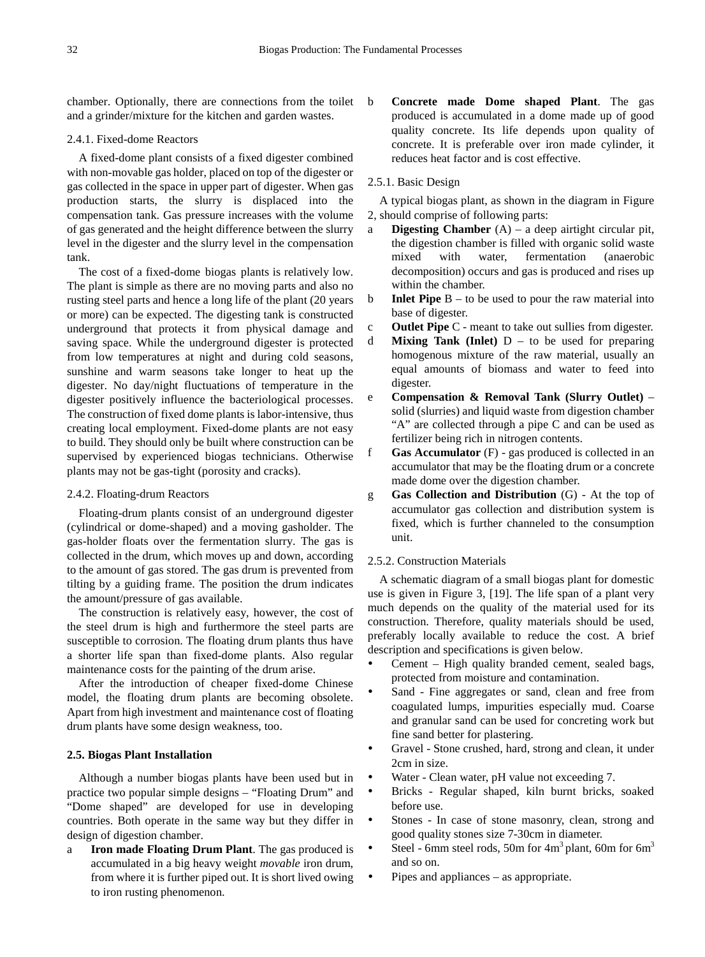chamber. Optionally, there are connections from the toilet and a grinder/mixture for the kitchen and garden wastes.

### 2.4.1. Fixed-dome Reactors

A fixed-dome plant consists of a fixed digester combined with non-movable gas holder, placed on top of the digester or gas collected in the space in upper part of digester. When gas production starts, the slurry is displaced into the compensation tank. Gas pressure increases with the volume of gas generated and the height difference between the slurry level in the digester and the slurry level in the compensation tank.

The cost of a fixed-dome biogas plants is relatively low. The plant is simple as there are no moving parts and also no rusting steel parts and hence a long life of the plant (20 years or more) can be expected. The digesting tank is constructed underground that protects it from physical damage and saving space. While the underground digester is protected from low temperatures at night and during cold seasons, sunshine and warm seasons take longer to heat up the digester. No day/night fluctuations of temperature in the digester positively influence the bacteriological processes. The construction of fixed dome plants is labor-intensive, thus creating local employment. Fixed-dome plants are not easy to build. They should only be built where construction can be supervised by experienced biogas technicians. Otherwise plants may not be gas-tight (porosity and cracks).

#### 2.4.2. Floating-drum Reactors

Floating-drum plants consist of an underground digester (cylindrical or dome-shaped) and a moving gasholder. The gas-holder floats over the fermentation slurry. The gas is collected in the drum, which moves up and down, according to the amount of gas stored. The gas drum is prevented from tilting by a guiding frame. The position the drum indicates the amount/pressure of gas available.

The construction is relatively easy, however, the cost of the steel drum is high and furthermore the steel parts are susceptible to corrosion. The floating drum plants thus have a shorter life span than fixed-dome plants. Also regular maintenance costs for the painting of the drum arise.

After the introduction of cheaper fixed-dome Chinese model, the floating drum plants are becoming obsolete. Apart from high investment and maintenance cost of floating drum plants have some design weakness, too.

#### **2.5. Biogas Plant Installation**

Although a number biogas plants have been used but in practice two popular simple designs – "Floating Drum" and "Dome shaped" are developed for use in developing countries. Both operate in the same way but they differ in design of digestion chamber.

a **Iron made Floating Drum Plant**. The gas produced is accumulated in a big heavy weight *movable* iron drum, from where it is further piped out. It is short lived owing to iron rusting phenomenon.

b **Concrete made Dome shaped Plant**. The gas produced is accumulated in a dome made up of good quality concrete. Its life depends upon quality of concrete. It is preferable over iron made cylinder, it reduces heat factor and is cost effective.

#### 2.5.1. Basic Design

A typical biogas plant, as shown in the diagram in Figure 2, should comprise of following parts:

- a **Digesting Chamber** (A) a deep airtight circular pit, the digestion chamber is filled with organic solid waste mixed with water, fermentation (anaerobic decomposition) occurs and gas is produced and rises up within the chamber.
- b **Inlet Pipe** B to be used to pour the raw material into base of digester.
- c **Outlet Pipe** C meant to take out sullies from digester.
- d **Mixing Tank (Inlet)** D to be used for preparing homogenous mixture of the raw material, usually an equal amounts of biomass and water to feed into digester.
- e **Compensation & Removal Tank (Slurry Outlet)** solid (slurries) and liquid waste from digestion chamber "A" are collected through a pipe C and can be used as fertilizer being rich in nitrogen contents.
- f **Gas Accumulator** (F) gas produced is collected in an accumulator that may be the floating drum or a concrete made dome over the digestion chamber.
- g **Gas Collection and Distribution** (G) At the top of accumulator gas collection and distribution system is fixed, which is further channeled to the consumption unit.

#### 2.5.2. Construction Materials

A schematic diagram of a small biogas plant for domestic use is given in Figure 3, [19]. The life span of a plant very much depends on the quality of the material used for its construction. Therefore, quality materials should be used, preferably locally available to reduce the cost. A brief description and specifications is given below.

- Cement High quality branded cement, sealed bags, protected from moisture and contamination.
- Sand Fine aggregates or sand, clean and free from coagulated lumps, impurities especially mud. Coarse and granular sand can be used for concreting work but fine sand better for plastering.
- Gravel Stone crushed, hard, strong and clean, it under 2cm in size.
- Water Clean water, pH value not exceeding 7.
- Bricks Regular shaped, kiln burnt bricks, soaked before use.
- Stones In case of stone masonry, clean, strong and good quality stones size 7-30cm in diameter.
- Steel 6mm steel rods, 50m for  $4m<sup>3</sup>$  plant, 60m for 6 $m<sup>3</sup>$ and so on.
- Pipes and appliances as appropriate.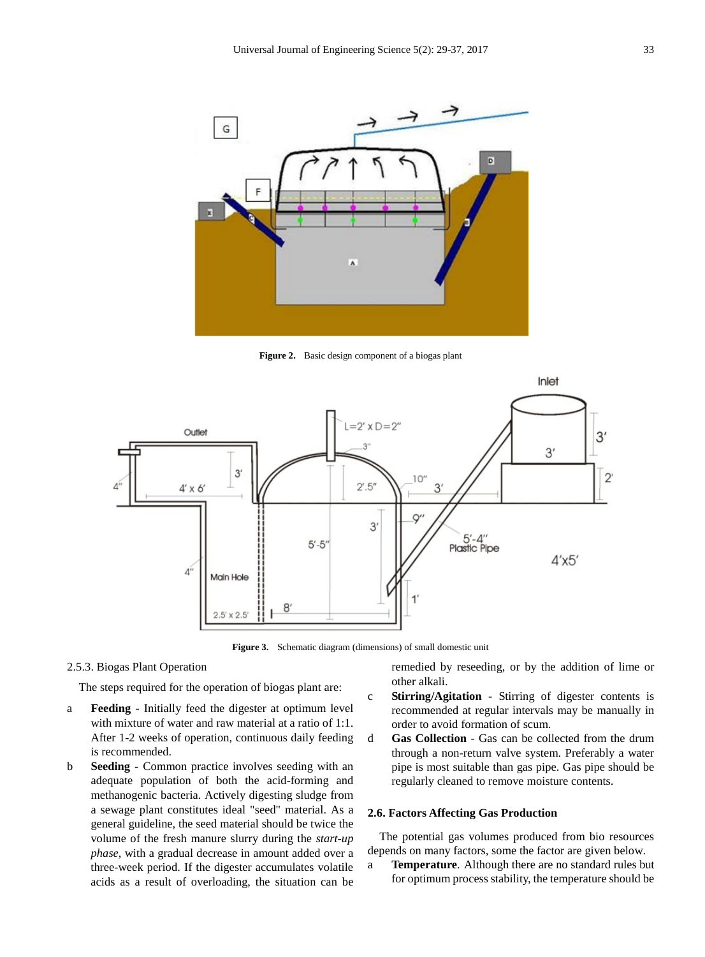

**Figure 2.** Basic design component of a biogas plant



**Figure 3.** Schematic diagram (dimensions) of small domestic unit

### 2.5.3. Biogas Plant Operation

The steps required for the operation of biogas plant are:

- a **Feeding -** Initially feed the digester at optimum level with mixture of water and raw material at a ratio of 1:1. After 1-2 weeks of operation, continuous daily feeding is recommended.
- b **Seeding -** Common practice involves seeding with an adequate population of both the acid-forming and methanogenic bacteria. Actively digesting sludge from a sewage plant constitutes ideal "seed" material. As a general guideline, the seed material should be twice the volume of the fresh manure slurry during the *start-up phase*, with a gradual decrease in amount added over a three-week period. If the digester accumulates volatile acids as a result of overloading, the situation can be

remedied by reseeding, or by the addition of lime or other alkali.

- c **Stirring/Agitation -** Stirring of digester contents is recommended at regular intervals may be manually in order to avoid formation of scum.
- d **Gas Collection** Gas can be collected from the drum through a non-return valve system. Preferably a water pipe is most suitable than gas pipe. Gas pipe should be regularly cleaned to remove moisture contents.

#### **2.6. Factors Affecting Gas Production**

The potential gas volumes produced from bio resources depends on many factors, some the factor are given below.

a **Temperature**. Although there are no standard rules but for optimum process stability, the temperature should be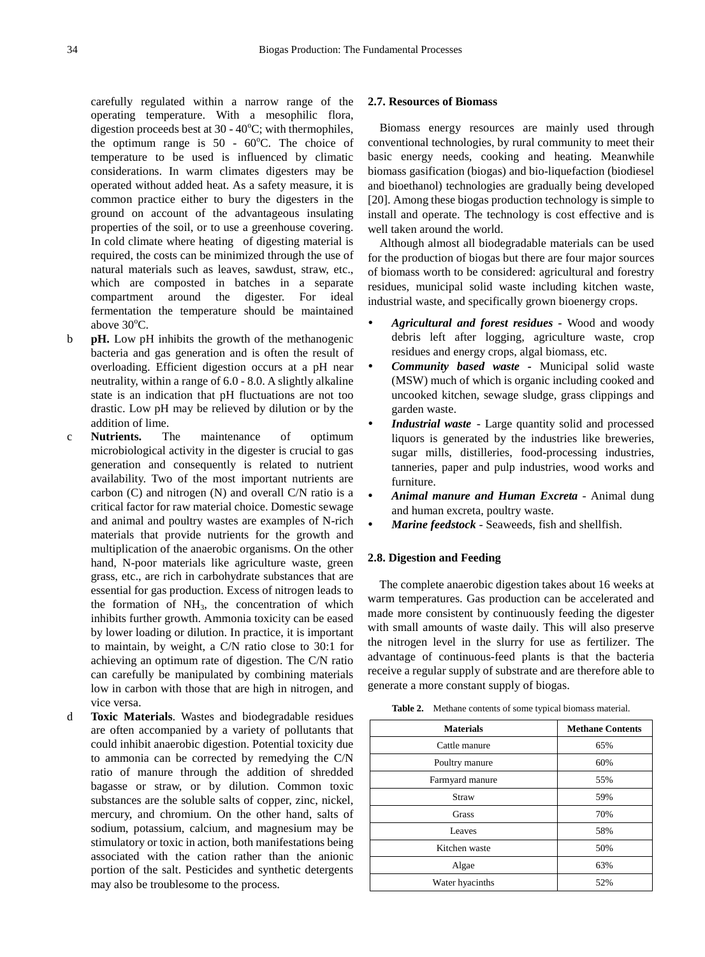carefully regulated within a narrow range of the operating temperature. With a mesophilic flora, digestion proceeds best at  $30 - 40^{\circ}$ C; with thermophiles, the optimum range is  $50 - 60^{\circ}$ C. The choice of temperature to be used is influenced by climatic considerations. In warm climates digesters may be operated without added heat. As a safety measure, it is common practice either to bury the digesters in the ground on account of the advantageous insulating properties of the soil, or to use a greenhouse covering. In cold climate where heating of digesting material is required, the costs can be minimized through the use of natural materials such as leaves, sawdust, straw, etc., which are composted in batches in a separate compartment around the digester. For ideal fermentation the temperature should be maintained above  $30^{\circ}$ C.

- b **pH.** Low pH inhibits the growth of the methanogenic bacteria and gas generation and is often the result of overloading. Efficient digestion occurs at a pH near neutrality, within a range of 6.0 - 8.0. A slightly alkaline state is an indication that pH fluctuations are not too drastic. Low pH may be relieved by dilution or by the addition of lime.
- c **Nutrients.** The maintenance of optimum microbiological activity in the digester is crucial to gas generation and consequently is related to nutrient availability. Two of the most important nutrients are carbon (C) and nitrogen (N) and overall C/N ratio is a critical factor for raw material choice. Domestic sewage and animal and poultry wastes are examples of N-rich materials that provide nutrients for the growth and multiplication of the anaerobic organisms. On the other hand, N-poor materials like agriculture waste, green grass, etc., are rich in carbohydrate substances that are essential for gas production. Excess of nitrogen leads to the formation of  $NH<sub>3</sub>$ , the concentration of which inhibits further growth. Ammonia toxicity can be eased by lower loading or dilution. In practice, it is important to maintain, by weight, a C/N ratio close to 30:1 for achieving an optimum rate of digestion. The C/N ratio can carefully be manipulated by combining materials low in carbon with those that are high in nitrogen, and vice versa.
- d **Toxic Materials**. Wastes and biodegradable residues are often accompanied by a variety of pollutants that could inhibit anaerobic digestion. Potential toxicity due to ammonia can be corrected by remedying the C/N ratio of manure through the addition of shredded bagasse or straw, or by dilution. Common toxic substances are the soluble salts of copper, zinc, nickel, mercury, and chromium. On the other hand, salts of sodium, potassium, calcium, and magnesium may be stimulatory or toxic in action, both manifestations being associated with the cation rather than the anionic portion of the salt. Pesticides and synthetic detergents may also be troublesome to the process.

#### **2.7. Resources of Biomass**

Biomass energy resources are mainly used through conventional technologies, by rural community to meet their basic energy needs, cooking and heating. Meanwhile biomass gasification (biogas) and bio-liquefaction (biodiesel and bioethanol) technologies are gradually being developed [20]. Among these biogas production technology is simple to install and operate. The technology is cost effective and is well taken around the world.

Although almost all biodegradable materials can be used for the production of biogas but there are four major sources of biomass worth to be considered: agricultural and forestry residues, municipal solid waste including kitchen waste, industrial waste, and specifically grown bioenergy crops.

- *Agricultural and forest residues -* Wood and woody debris left after logging, agriculture waste, crop residues and energy crops, algal biomass, etc.
- *Community based waste -* Municipal solid waste (MSW) much of which is organic including cooked and uncooked kitchen, sewage sludge, grass clippings and garden waste.
- *Industrial waste* Large quantity solid and processed liquors is generated by the industries like breweries, sugar mills, distilleries, food-processing industries, tanneries, paper and pulp industries, wood works and furniture.
- *Animal manure and Human Excreta* Animal dung and human excreta, poultry waste.
- *Marine feedstock*  Seaweeds, fish and shellfish.

### **2.8. Digestion and Feeding**

The complete anaerobic digestion takes about 16 weeks at warm temperatures. Gas production can be accelerated and made more consistent by continuously feeding the digester with small amounts of waste daily. This will also preserve the nitrogen level in the slurry for use as fertilizer. The advantage of continuous-feed plants is that the bacteria receive a regular supply of substrate and are therefore able to generate a more constant supply of biogas.

| <b>Materials</b> | <b>Methane Contents</b> |
|------------------|-------------------------|
| Cattle manure    | 65%                     |
| Poultry manure   | 60%                     |
| Farmyard manure  | 55%                     |
| Straw            | 59%                     |
| Grass            | 70%                     |
| <b>Leaves</b>    | 58%                     |
| Kitchen waste    | 50%                     |
| Algae            | 63%                     |
| Water hyacinths  | 52%                     |

**Table 2.** Methane contents of some typical biomass material.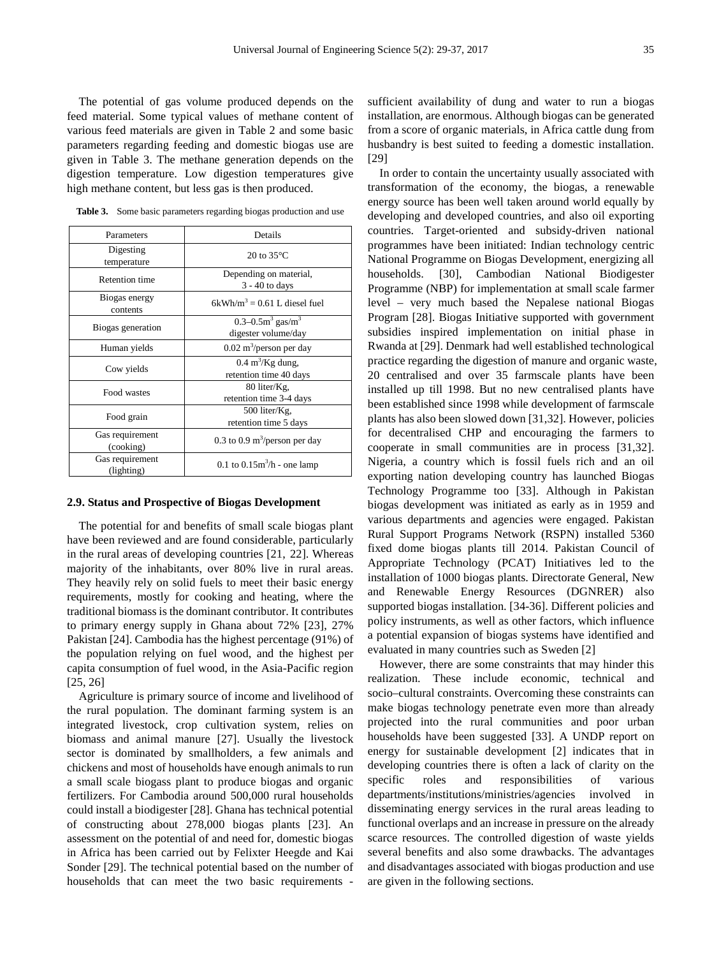The potential of gas volume produced depends on the feed material. Some typical values of methane content of various feed materials are given in Table 2 and some basic parameters regarding feeding and domestic biogas use are given in Table 3. The methane generation depends on the digestion temperature. Low digestion temperatures give high methane content, but less gas is then produced.

| Parameters                    | Details                                                     |
|-------------------------------|-------------------------------------------------------------|
| Digesting<br>temperature      | 20 to $35^{\circ}$ C                                        |
| <b>Retention time</b>         | Depending on material,<br>$3 - 40$ to days                  |
| Biogas energy<br>contents     | $6kWh/m^3 = 0.61$ L diesel fuel                             |
| Biogas generation             | 0.3-0.5 $m^3$ gas/ $m^3$<br>digester volume/day             |
| Human yields                  | $0.02 \text{ m}^3/\text{person per day}$                    |
| Cow yields                    | $0.4 \text{ m}^3/\text{Kg}$ dung,<br>retention time 40 days |
| Food wastes                   | 80 liter/Kg,<br>retention time 3-4 days                     |
| Food grain                    | 500 liter/Kg,<br>retention time 5 days                      |
| Gas requirement<br>(cooking)  | 0.3 to 0.9 $\text{m}^3/\text{person}$ per day               |
| Gas requirement<br>(lighting) | 0.1 to $0.15m^3/h$ - one lamp                               |

Table 3. Some basic parameters regarding biogas production and use

#### **2.9. Status and Prospective of Biogas Development**

The potential for and benefits of small scale biogas plant have been reviewed and are found considerable, particularly in the rural areas of developing countries [21, 22]. Whereas majority of the inhabitants, over 80% live in rural areas. They heavily rely on solid fuels to meet their basic energy requirements, mostly for cooking and heating, where the traditional biomass is the dominant contributor. It contributes to primary energy supply in Ghana about 72% [23], 27% Pakistan [24]. Cambodia has the highest percentage (91%) of the population relying on fuel wood, and the highest per capita consumption of fuel wood, in the Asia-Pacific region [25, 26]

Agriculture is primary source of income and livelihood of the rural population. The dominant farming system is an integrated livestock, crop cultivation system, relies on biomass and animal manure [27]. Usually the livestock sector is dominated by smallholders, a few animals and chickens and most of households have enough animals to run a small scale biogass plant to produce biogas and organic fertilizers. For Cambodia around 500,000 rural households could install a biodigester [28]. Ghana has technical potential of constructing about 278,000 biogas plants [23]. An assessment on the potential of and need for, domestic biogas in Africa has been carried out by Felixter Heegde and Kai Sonder [29]. The technical potential based on the number of households that can meet the two basic requirements -

sufficient availability of dung and water to run a biogas installation, are enormous. Although biogas can be generated from a score of organic materials, in Africa cattle dung from husbandry is best suited to feeding a domestic installation. [29]

In order to contain the uncertainty usually associated with transformation of the economy, the biogas, a renewable energy source has been well taken around world equally by developing and developed countries, and also oil exporting countries. Target-oriented and subsidy-driven national programmes have been initiated: Indian technology centric National Programme on Biogas Development, energizing all households. [30], Cambodian National Biodigester Programme (NBP) for implementation at small scale farmer level – very much based the Nepalese national Biogas Program [28]. Biogas Initiative supported with government subsidies inspired implementation on initial phase in Rwanda at [29]. Denmark had well established technological practice regarding the digestion of manure and organic waste, 20 centralised and over 35 farmscale plants have been installed up till 1998. But no new centralised plants have been established since 1998 while development of farmscale plants has also been slowed down [31,32]. However, policies for decentralised CHP and encouraging the farmers to cooperate in small communities are in process [31,32]. Nigeria, a country which is fossil fuels rich and an oil exporting nation developing country has launched Biogas Technology Programme too [33]. Although in Pakistan biogas development was initiated as early as in 1959 and various departments and agencies were engaged. Pakistan Rural Support Programs Network (RSPN) installed 5360 fixed dome biogas plants till 2014. Pakistan Council of Appropriate Technology (PCAT) Initiatives led to the installation of 1000 biogas plants. Directorate General, New and Renewable Energy Resources (DGNRER) also supported biogas installation. [34-36]. Different policies and policy instruments, as well as other factors, which influence a potential expansion of biogas systems have identified and evaluated in many countries such as Sweden [2]

However, there are some constraints that may hinder this realization. These include economic, technical and socio–cultural constraints. Overcoming these constraints can make biogas technology penetrate even more than already projected into the rural communities and poor urban households have been suggested [33]. A UNDP report on energy for sustainable development [2] indicates that in developing countries there is often a lack of clarity on the specific roles and responsibilities of various departments/institutions/ministries/agencies involved in disseminating energy services in the rural areas leading to functional overlaps and an increase in pressure on the already scarce resources. The controlled digestion of waste yields several benefits and also some drawbacks. The advantages and disadvantages associated with biogas production and use are given in the following sections.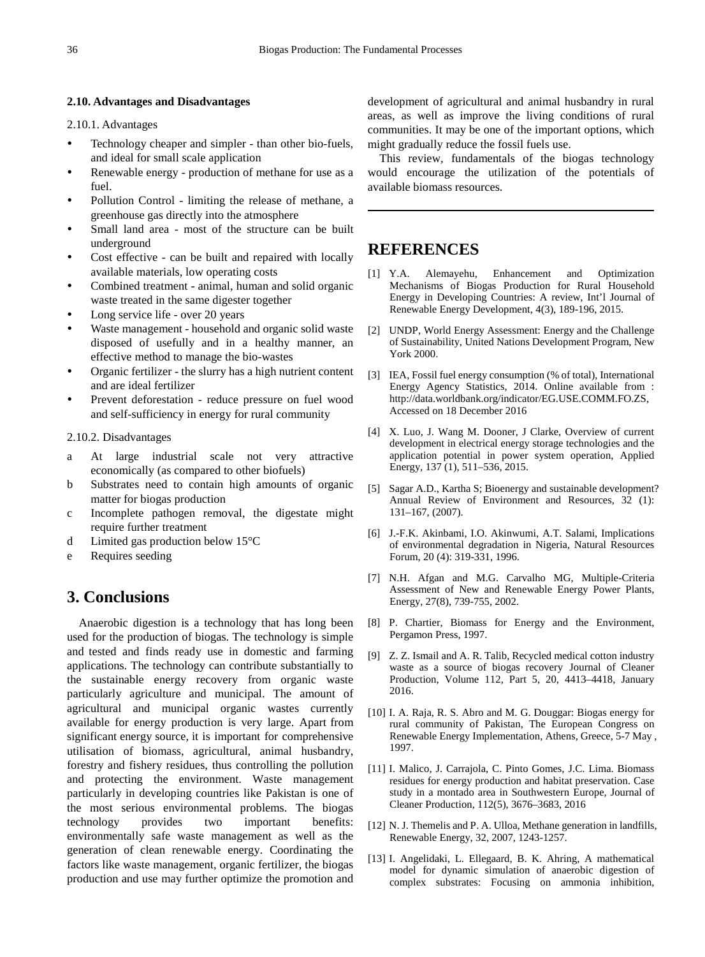### **2.10. Advantages and Disadvantages**

2.10.1. Advantages

- Technology cheaper and simpler than other bio-fuels, and ideal for small scale application
- Renewable energy production of methane for use as a fuel.
- Pollution Control limiting the release of methane, a greenhouse gas directly into the atmosphere
- Small land area most of the structure can be built underground
- Cost effective can be built and repaired with locally available materials, low operating costs
- Combined treatment animal, human and solid organic waste treated in the same digester together
- Long service life over 20 years
- Waste management household and organic solid waste disposed of usefully and in a healthy manner, an effective method to manage the bio-wastes
- Organic fertilizer the slurry has a high nutrient content and are ideal fertilizer
- Prevent deforestation reduce pressure on fuel wood and self-sufficiency in energy for rural community

2.10.2. Disadvantages

- a At large industrial scale not very attractive economically (as compared to other biofuels)
- b Substrates need to contain high amounts of organic matter for biogas production
- c Incomplete pathogen removal, the digestate might require further treatment
- d Limited gas production below 15°C
- e Requires seeding

# **3. Conclusions**

Anaerobic digestion is a technology that has long been used for the production of biogas. The technology is simple and tested and finds ready use in domestic and farming applications. The technology can contribute substantially to the sustainable energy recovery from organic waste particularly agriculture and municipal. The amount of agricultural and municipal organic wastes currently available for energy production is very large. Apart from significant energy source, it is important for comprehensive utilisation of biomass, agricultural, animal husbandry, forestry and fishery residues, thus controlling the pollution and protecting the environment. Waste management particularly in developing countries like Pakistan is one of the most serious environmental problems. The biogas technology provides two important benefits: environmentally safe waste management as well as the generation of clean renewable energy. Coordinating the factors like waste management, organic fertilizer, the biogas production and use may further optimize the promotion and

development of agricultural and animal husbandry in rural areas, as well as improve the living conditions of rural communities. It may be one of the important options, which might gradually reduce the fossil fuels use.

This review, fundamentals of the biogas technology would encourage the utilization of the potentials of available biomass resources.

# **REFERENCES**

- [1] Y.A. Alemayehu, Enhancement and Optimization Mechanisms of Biogas Production for Rural Household Energy in Developing Countries: A review, Int'l Journal of Renewable Energy Development, 4(3), 189-196, 2015.
- [2] UNDP, World Energy Assessment: Energy and the Challenge of Sustainability, United Nations Development Program, New York 2000.
- [3] IEA, Fossil fuel energy consumption (% of total), International Energy Agency Statistics, 2014. Online available from : http://data.worldbank.org/indicator/EG.USE.COMM.FO.ZS, Accessed on 18 December 2016
- [4] X. Luo, J. Wang M. Dooner, J Clarke, Overview of current development in electrical energy storage technologies and the application potential in power system operation, Applied Energy, 137 (1), 511–536, 2015.
- [5] Sagar A.D., Kartha S; Bioenergy and sustainable development? Annual Review of Environment and Resources, 32 (1): 131–167, (2007).
- [6] J.-F.K. Akinbami, I.O. Akinwumi, A.T. Salami, Implications of environmental degradation in Nigeria, Natural Resources Forum, 20 (4): 319-331, 1996.
- [7] N.H. Afgan and M.G. Carvalho MG, Multiple-Criteria Assessment of New and Renewable Energy Power Plants, Energy, 27(8), 739-755, 2002.
- [8] P. Chartier, Biomass for Energy and the Environment, Pergamon Press, 1997.
- [9] Z. Z. Ismail and A. R. Talib, Recycled medical cotton industry waste as a source of biogas recovery Journal of Cleaner Production, Volume 112, Part 5, 20, 4413–4418, January 2016.
- [10] I. A. Raja, R. S. Abro and M. G. Douggar: Biogas energy for rural community of Pakistan, The European Congress on Renewable Energy Implementation, Athens, Greece, 5-7 May , 1997.
- [11] I. Malico, J. Carrajola, C. Pinto Gomes, J.C. Lima. Biomass residues for energy production and habitat preservation. Case study in a montado area in Southwestern Europe, Journal of Cleaner Production, 112(5), 3676–3683, 2016
- [12] N. J. Themelis and P. A. Ulloa, Methane generation in landfills, Renewable Energy, 32, 2007, 1243-1257.
- [13] I. Angelidaki, L. Ellegaard, B. K. Ahring, A mathematical model for dynamic simulation of anaerobic digestion of complex substrates: Focusing on ammonia inhibition,